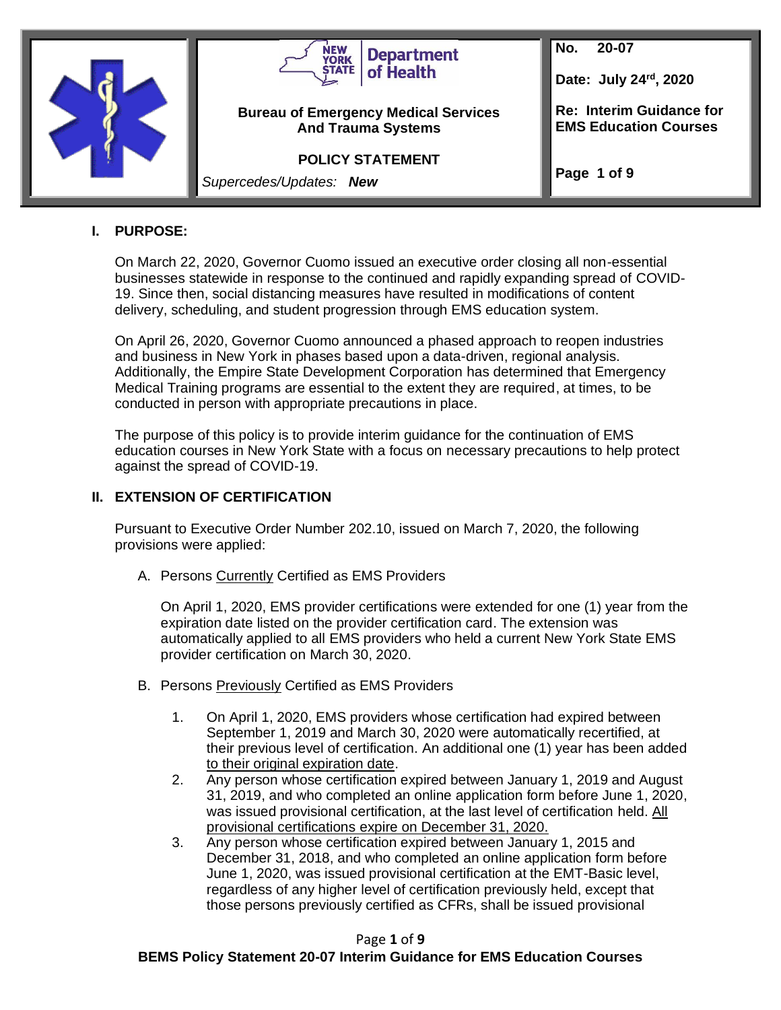

### **I. PURPOSE:**

On March 22, 2020, Governor Cuomo issued an executive order closing all non-essential businesses statewide in response to the continued and rapidly expanding spread of COVID-19. Since then, social distancing measures have resulted in modifications of content delivery, scheduling, and student progression through EMS education system.

On April 26, 2020, Governor Cuomo announced a phased approach to reopen industries and business in New York in phases based upon a data-driven, regional analysis. Additionally, the Empire State Development Corporation has determined that Emergency Medical Training programs are essential to the extent they are required, at times, to be conducted in person with appropriate precautions in place.

The purpose of this policy is to provide interim guidance for the continuation of EMS education courses in New York State with a focus on necessary precautions to help protect against the spread of COVID-19.

#### **II. EXTENSION OF CERTIFICATION**

Pursuant to Executive Order Number 202.10, issued on March 7, 2020, the following provisions were applied:

A. Persons Currently Certified as EMS Providers

On April 1, 2020, EMS provider certifications were extended for one (1) year from the expiration date listed on the provider certification card. The extension was automatically applied to all EMS providers who held a current New York State EMS provider certification on March 30, 2020.

- B. Persons Previously Certified as EMS Providers
	- 1. On April 1, 2020, EMS providers whose certification had expired between September 1, 2019 and March 30, 2020 were automatically recertified, at their previous level of certification. An additional one (1) year has been added to their original expiration date.
	- 2. Any person whose certification expired between January 1, 2019 and August 31, 2019, and who completed an online application form before June 1, 2020, was issued provisional certification, at the last level of certification held. All provisional certifications expire on December 31, 2020.
	- 3. Any person whose certification expired between January 1, 2015 and December 31, 2018, and who completed an online application form before June 1, 2020, was issued provisional certification at the EMT-Basic level, regardless of any higher level of certification previously held, except that those persons previously certified as CFRs, shall be issued provisional

Page **1** of **9**

#### **BEMS Policy Statement 20-07 Interim Guidance for EMS Education Courses**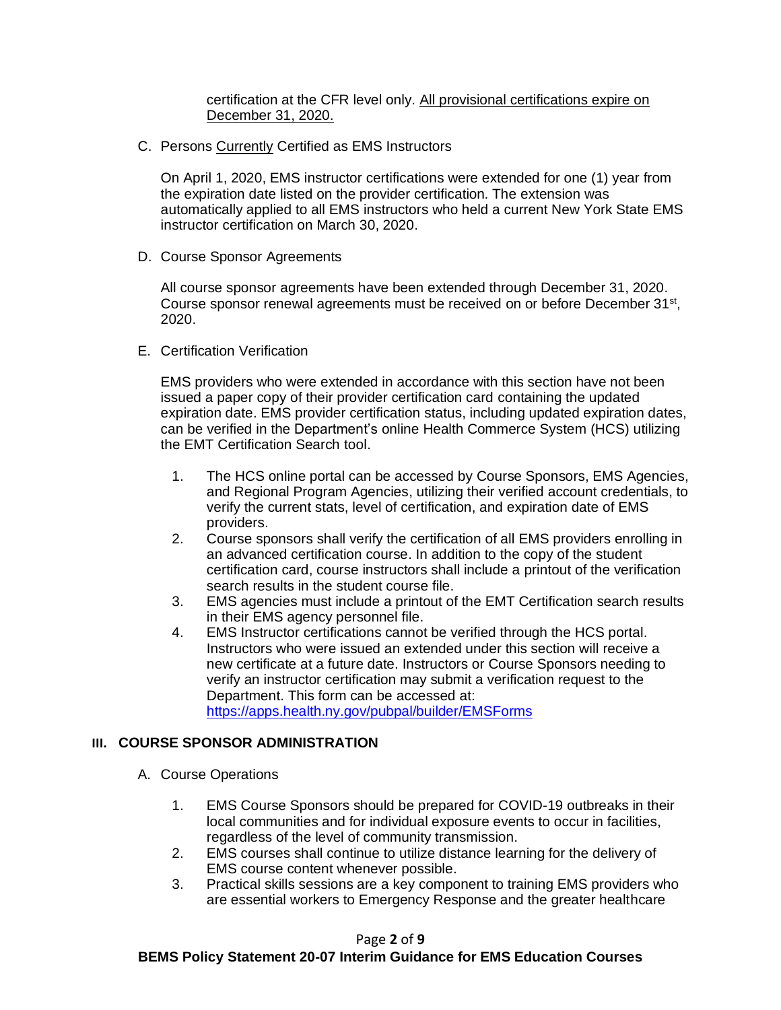certification at the CFR level only. All provisional certifications expire on December 31, 2020.

C. Persons Currently Certified as EMS Instructors

On April 1, 2020, EMS instructor certifications were extended for one (1) year from the expiration date listed on the provider certification. The extension was automatically applied to all EMS instructors who held a current New York State EMS instructor certification on March 30, 2020.

D. Course Sponsor Agreements

All course sponsor agreements have been extended through December 31, 2020. Course sponsor renewal agreements must be received on or before December 31<sup>st</sup>, 2020.

E. Certification Verification

EMS providers who were extended in accordance with this section have not been issued a paper copy of their provider certification card containing the updated expiration date. EMS provider certification status, including updated expiration dates, can be verified in the Department's online Health Commerce System (HCS) utilizing the EMT Certification Search tool.

- 1. The HCS online portal can be accessed by Course Sponsors, EMS Agencies, and Regional Program Agencies, utilizing their verified account credentials, to verify the current stats, level of certification, and expiration date of EMS providers.
- 2. Course sponsors shall verify the certification of all EMS providers enrolling in an advanced certification course. In addition to the copy of the student certification card, course instructors shall include a printout of the verification search results in the student course file.
- 3. EMS agencies must include a printout of the EMT Certification search results in their EMS agency personnel file.
- 4. EMS Instructor certifications cannot be verified through the HCS portal. Instructors who were issued an extended under this section will receive a new certificate at a future date. Instructors or Course Sponsors needing to verify an instructor certification may submit a verification request to the Department. This form can be accessed at: <https://apps.health.ny.gov/pubpal/builder/EMSForms>

## **III. COURSE SPONSOR ADMINISTRATION**

- A. Course Operations
	- 1. EMS Course Sponsors should be prepared for COVID-19 outbreaks in their local communities and for individual exposure events to occur in facilities, regardless of the level of community transmission.
	- 2. EMS courses shall continue to utilize distance learning for the delivery of EMS course content whenever possible.
	- 3. Practical skills sessions are a key component to training EMS providers who are essential workers to Emergency Response and the greater healthcare

Page **2** of **9**

#### **BEMS Policy Statement 20-07 Interim Guidance for EMS Education Courses**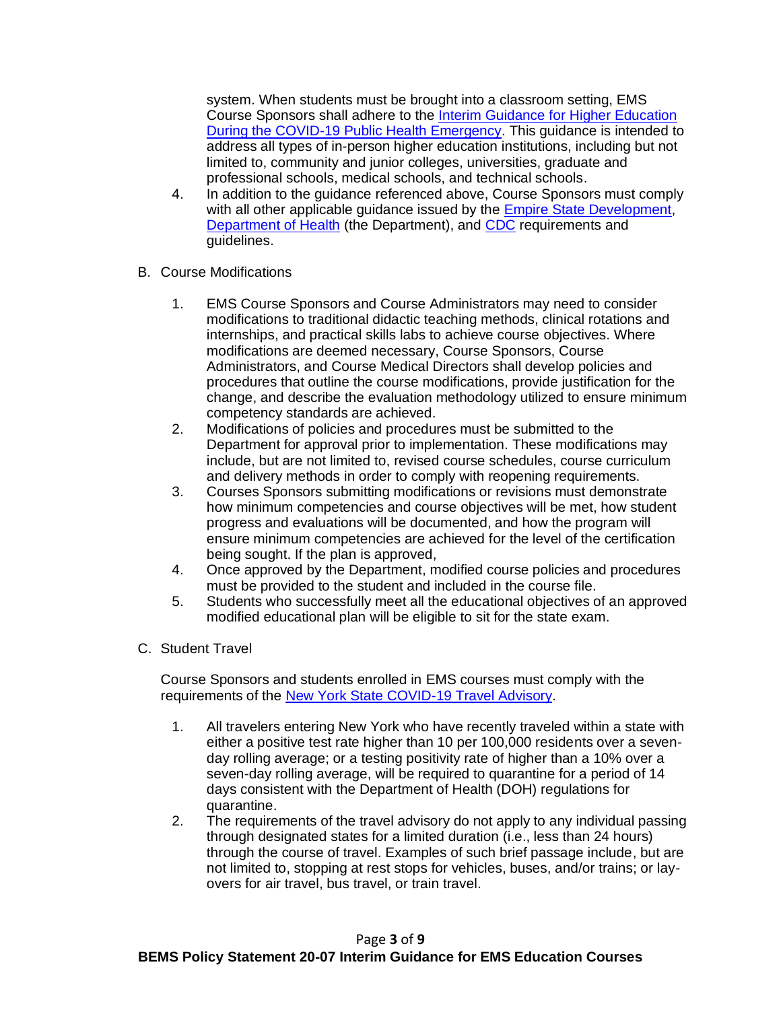system. When students must be brought into a classroom setting, EMS Course Sponsors shall adhere to the [Interim Guidance for Higher Education](https://www.governor.ny.gov/sites/governor.ny.gov/files/atoms/files/Higher_Education_Detailed_Guidelines.pdf)  [During the COVID-19 Public Health Emergency.](https://www.governor.ny.gov/sites/governor.ny.gov/files/atoms/files/Higher_Education_Detailed_Guidelines.pdf) This guidance is intended to address all types of in-person higher education institutions, including but not limited to, community and junior colleges, universities, graduate and professional schools, medical schools, and technical schools.

- 4. In addition to the guidance referenced above, Course Sponsors must comply with all other applicable guidance issued by the [Empire State Development,](https://forward.ny.gov/) [Department of Health](https://coronavirus.health.ny.gov/home) (the Department), and [CDC](https://www.cdc.gov/coronavirus/2019-ncov/index.html) requirements and guidelines.
- B. Course Modifications
	- 1. EMS Course Sponsors and Course Administrators may need to consider modifications to traditional didactic teaching methods, clinical rotations and internships, and practical skills labs to achieve course objectives. Where modifications are deemed necessary, Course Sponsors, Course Administrators, and Course Medical Directors shall develop policies and procedures that outline the course modifications, provide justification for the change, and describe the evaluation methodology utilized to ensure minimum competency standards are achieved.
	- 2. Modifications of policies and procedures must be submitted to the Department for approval prior to implementation. These modifications may include, but are not limited to, revised course schedules, course curriculum and delivery methods in order to comply with reopening requirements.
	- 3. Courses Sponsors submitting modifications or revisions must demonstrate how minimum competencies and course objectives will be met, how student progress and evaluations will be documented, and how the program will ensure minimum competencies are achieved for the level of the certification being sought. If the plan is approved,
	- 4. Once approved by the Department, modified course policies and procedures must be provided to the student and included in the course file.
	- 5. Students who successfully meet all the educational objectives of an approved modified educational plan will be eligible to sit for the state exam.
- C. Student Travel

Course Sponsors and students enrolled in EMS courses must comply with the requirements of the [New York State COVID-19 Travel Advisory.](https://coronavirus.health.ny.gov/covid-19-travel-advisory)

- 1. All travelers entering New York who have recently traveled within a state with either a positive test rate higher than 10 per 100,000 residents over a sevenday rolling average; or a testing positivity rate of higher than a 10% over a seven-day rolling average, will be required to quarantine for a period of 14 days consistent with the Department of Health (DOH) regulations for quarantine.
- 2. The requirements of the travel advisory do not apply to any individual passing through designated states for a limited duration (i.e., less than 24 hours) through the course of travel. Examples of such brief passage include, but are not limited to, stopping at rest stops for vehicles, buses, and/or trains; or layovers for air travel, bus travel, or train travel.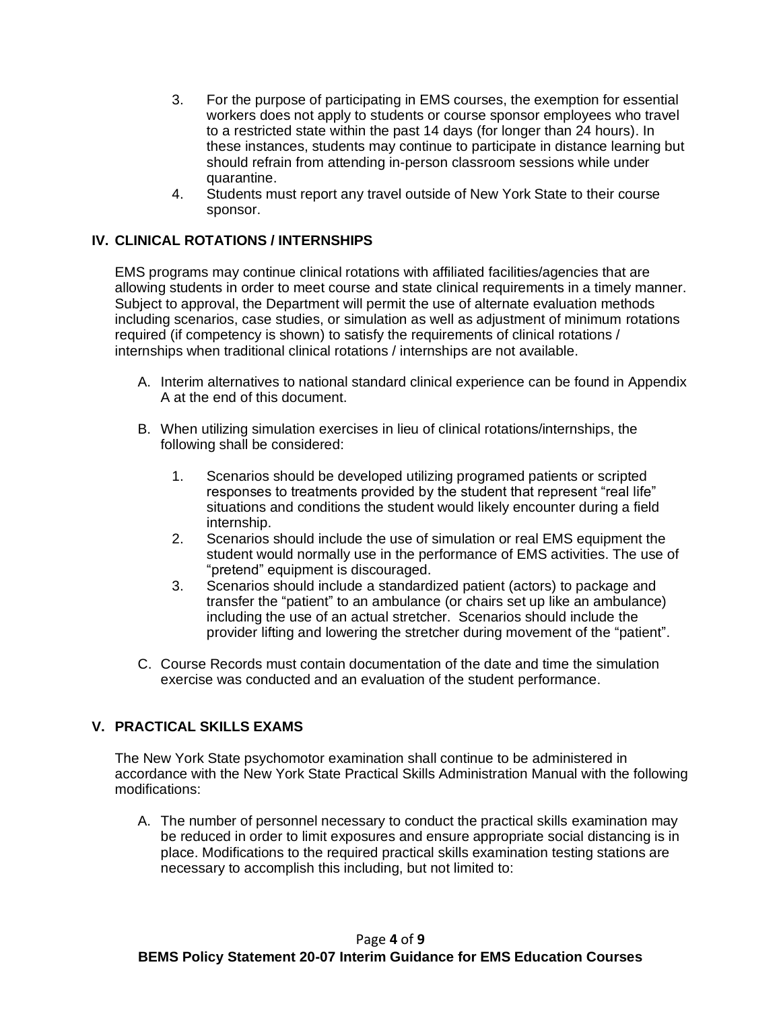- 3. For the purpose of participating in EMS courses, the exemption for essential workers does not apply to students or course sponsor employees who travel to a restricted state within the past 14 days (for longer than 24 hours). In these instances, students may continue to participate in distance learning but should refrain from attending in-person classroom sessions while under quarantine.
- 4. Students must report any travel outside of New York State to their course sponsor.

## **IV. CLINICAL ROTATIONS / INTERNSHIPS**

EMS programs may continue clinical rotations with affiliated facilities/agencies that are allowing students in order to meet course and state clinical requirements in a timely manner. Subject to approval, the Department will permit the use of alternate evaluation methods including scenarios, case studies, or simulation as well as adjustment of minimum rotations required (if competency is shown) to satisfy the requirements of clinical rotations / internships when traditional clinical rotations / internships are not available.

- A. Interim alternatives to national standard clinical experience can be found in Appendix A at the end of this document.
- B. When utilizing simulation exercises in lieu of clinical rotations/internships, the following shall be considered:
	- 1. Scenarios should be developed utilizing programed patients or scripted responses to treatments provided by the student that represent "real life" situations and conditions the student would likely encounter during a field internship.
	- 2. Scenarios should include the use of simulation or real EMS equipment the student would normally use in the performance of EMS activities. The use of "pretend" equipment is discouraged.
	- 3. Scenarios should include a standardized patient (actors) to package and transfer the "patient" to an ambulance (or chairs set up like an ambulance) including the use of an actual stretcher. Scenarios should include the provider lifting and lowering the stretcher during movement of the "patient".
- C. Course Records must contain documentation of the date and time the simulation exercise was conducted and an evaluation of the student performance.

### **V. PRACTICAL SKILLS EXAMS**

The New York State psychomotor examination shall continue to be administered in accordance with the New York State Practical Skills Administration Manual with the following modifications:

A. The number of personnel necessary to conduct the practical skills examination may be reduced in order to limit exposures and ensure appropriate social distancing is in place. Modifications to the required practical skills examination testing stations are necessary to accomplish this including, but not limited to: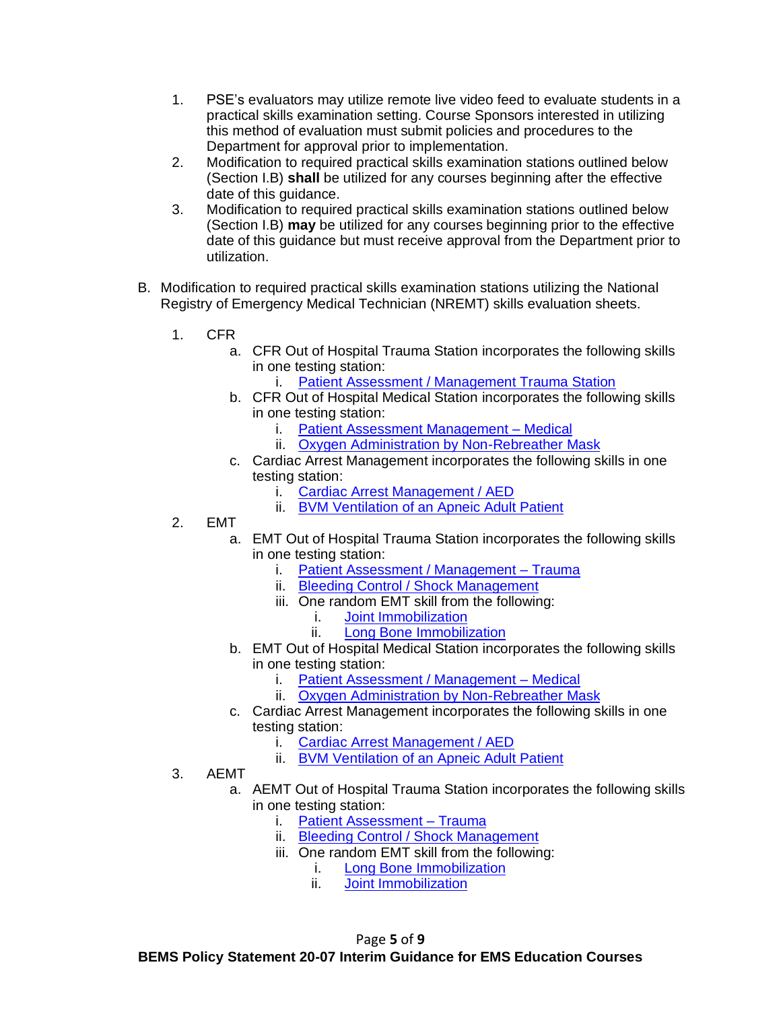- 1. PSE's evaluators may utilize remote live video feed to evaluate students in a practical skills examination setting. Course Sponsors interested in utilizing this method of evaluation must submit policies and procedures to the Department for approval prior to implementation.
- 2. Modification to required practical skills examination stations outlined below (Section I.B) **shall** be utilized for any courses beginning after the effective date of this guidance.
- 3. Modification to required practical skills examination stations outlined below (Section I.B) **may** be utilized for any courses beginning prior to the effective date of this guidance but must receive approval from the Department prior to utilization.
- B. Modification to required practical skills examination stations utilizing the National Registry of Emergency Medical Technician (NREMT) skills evaluation sheets.
	- 1. CFR
		- a. CFR Out of Hospital Trauma Station incorporates the following skills in one testing station:
			- i. [Patient Assessment / Management Trauma Station](https://content.nremt.org/static/documents/skills/R201_NREMT.pdf)
		- b. CFR Out of Hospital Medical Station incorporates the following skills in one testing station:
			- i. [Patient Assessment Management –](https://content.nremt.org/static/documents/skills/R202_NREMT.pdf) Medical
			- ii. [Oxygen Administration by Non-Rebreather Mask](https://content.nremt.org/static/documents/skills/R204_NREMT.pdf)
		- c. Cardiac Arrest Management incorporates the following skills in one testing station:
			- i. [Cardiac Arrest Management / AED](https://content.nremt.org/static/documents/skills/R215_NREMT.pdf)
			- ii. [BVM Ventilation of an Apneic Adult Patient](https://content.nremt.org/static/documents/skills/R203_NREMT.pdf)
	- 2. EMT
		- a. EMT Out of Hospital Trauma Station incorporates the following skills in one testing station:
			- i. [Patient Assessment / Management –](https://content.nremt.org/static/documents/skills/E201_NREMT.pdf) Trauma
			- ii. [Bleeding Control / Shock Management](https://content.nremt.org/static/documents/skills/E213_NREMT.pdf)
			- iii. One random EMT skill from the following:
				- i. [Joint Immobilization](https://content.nremt.org/static/documents/skills/E216_NREMT.pdf)
				- ii. [Long Bone Immobilization](https://content.nremt.org/static/documents/skills/E217_NREMT.pdf)
		- b. EMT Out of Hospital Medical Station incorporates the following skills in one testing station:
			- i. [Patient Assessment / Management –](https://content.nremt.org/static/documents/skills/E202_NREMT.pdf) Medical
			- ii. [Oxygen Administration by Non-Rebreather Mask](https://content.nremt.org/static/documents/skills/E204_NREMT.pdf)
		- c. Cardiac Arrest Management incorporates the following skills in one testing station:
			- i. [Cardiac Arrest Management / AED](https://content.nremt.org/static/documents/skills/E215_NREMT.pdf)
			- ii. [BVM Ventilation of an Apneic Adult Patient](https://content.nremt.org/static/documents/skills/E203_NREMT.pdf)
	- 3. AEMT
		- a. AEMT Out of Hospital Trauma Station incorporates the following skills in one testing station:
			- i. [Patient Assessment –](https://content.nremt.org/static/documents/P301%20NREMT%20Patient%20Assessment%20-%20Trauma.pdf) Trauma
			- ii. [Bleeding Control / Shock Management](https://content.nremt.org/static/documents/P313%20NREMT%20Bleeding%20Control%20Shock%20Management.pdf)
			- iii. One random EMT skill from the following:
				- i. [Long Bone Immobilization](https://content.nremt.org/static/documents/P317%20NREMT%20Long%20Bone%20Immobilization.pdf)
				- ii. [Joint Immobilization](https://content.nremt.org/static/documents/P316%20NREMT%20Joint%20Immobilization.pdf)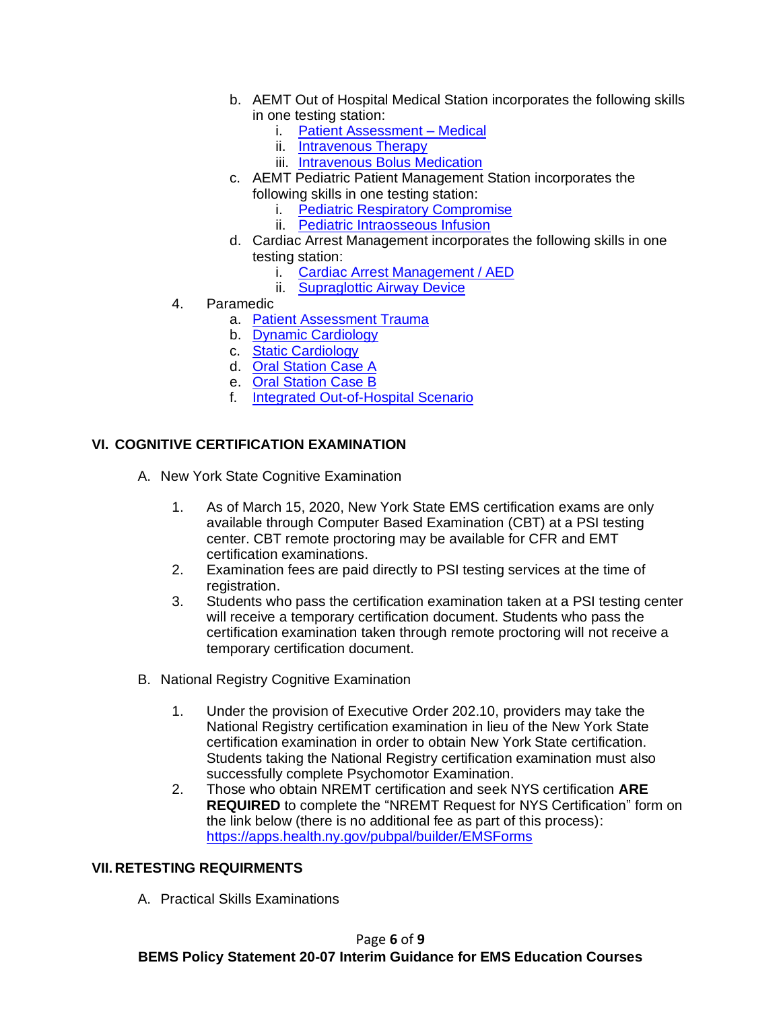- b. AEMT Out of Hospital Medical Station incorporates the following skills in one testing station:
	- i. [Patient Assessment –](https://content.nremt.org/static/documents/P302%20NREMT%20Patient%20Assessment%20-%20Medical.pdf) Medical
	- ii. [Intravenous Therapy](https://content.nremt.org/static/documents/P309%20NREMT%20Intravenous%20Therapy%20-%20Bolus.pdf)
	- iii. [Intravenous Bolus Medication](https://content.nremt.org/static/documents/P318%20NREMT%20Intravenous%20Bolus%20Medications.pdf)
- c. AEMT Pediatric Patient Management Station incorporates the following skills in one testing station:
	- i. [Pediatric Respiratory Compromise](https://content.nremt.org/static/documents/P314%20NREMT%20Pediatric%20Respiratory%20Compromise.pdf)
	- ii. [Pediatric Intraosseous Infusion](https://content.nremt.org/static/documents/P310%20NREMT%20Pediatric%20Intraosseous%20Infusion.pdf)
- d. Cardiac Arrest Management incorporates the following skills in one testing station:
	- i. [Cardiac Arrest Management / AED](https://content.nremt.org/static/documents/P315%20NREMT%20Cardiac%20Arrest%20Management-%20AED.pdf)
	- ii. [Supraglottic Airway Device](https://content.nremt.org/static/documents/2019%20NREMT%20Supraglottic%20Airway%20Device%20-%20UPDATED.pdf)
- 4. Paramedic
	- a. [Patient Assessment Trauma](https://content.nremt.org/static/documents/P301%20NREMT%20Patient%20Assessment%20-%20Trauma.pdf)
	- b. [Dynamic Cardiology](https://content.nremt.org/static/documents/P306%20NREMT%20Dynamic%20Cardiology.pdf)
	- c. [Static Cardiology](https://content.nremt.org/static/documents/P307%20NREMT%20Static%20Cardiology.pdf)
	- d. [Oral Station Case A](https://content.nremt.org/static/documents/Draft%20NREMT%20Oral%20Station.pdf)
	- e. [Oral Station Case B](https://content.nremt.org/static/documents/Draft%20NREMT%20Oral%20Station.pdf)
	- f. [Integrated Out-of-Hospital Scenario](https://content.nremt.org/static/documents/Draft%20NREMT%20Integrated%20Out-of-hospital%20Scenario.pdf)

### **VI. COGNITIVE CERTIFICATION EXAMINATION**

- A. New York State Cognitive Examination
	- 1. As of March 15, 2020, New York State EMS certification exams are only available through Computer Based Examination (CBT) at a PSI testing center. CBT remote proctoring may be available for CFR and EMT certification examinations.
	- 2. Examination fees are paid directly to PSI testing services at the time of registration.
	- 3. Students who pass the certification examination taken at a PSI testing center will receive a temporary certification document. Students who pass the certification examination taken through remote proctoring will not receive a temporary certification document.
- B. National Registry Cognitive Examination
	- 1. Under the provision of Executive Order 202.10, providers may take the National Registry certification examination in lieu of the New York State certification examination in order to obtain New York State certification. Students taking the National Registry certification examination must also successfully complete Psychomotor Examination.
	- 2. Those who obtain NREMT certification and seek NYS certification **ARE REQUIRED** to complete the "NREMT Request for NYS Certification" form on the link below (there is no additional fee as part of this process): <https://apps.health.ny.gov/pubpal/builder/EMSForms>

#### **VII. RETESTING REQUIRMENTS**

A. Practical Skills Examinations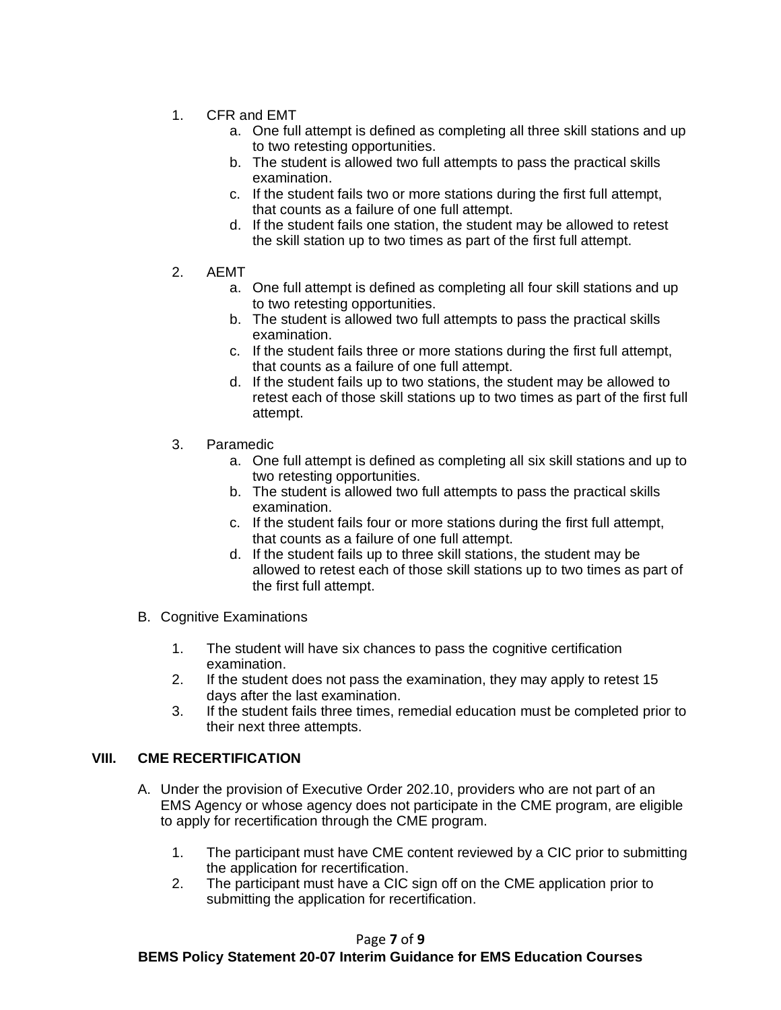- 1. CFR and EMT
	- a. One full attempt is defined as completing all three skill stations and up to two retesting opportunities.
	- b. The student is allowed two full attempts to pass the practical skills examination.
	- c. If the student fails two or more stations during the first full attempt, that counts as a failure of one full attempt.
	- d. If the student fails one station, the student may be allowed to retest the skill station up to two times as part of the first full attempt.
- 2. AEMT
	- a. One full attempt is defined as completing all four skill stations and up to two retesting opportunities.
	- b. The student is allowed two full attempts to pass the practical skills examination.
	- c. If the student fails three or more stations during the first full attempt, that counts as a failure of one full attempt.
	- d. If the student fails up to two stations, the student may be allowed to retest each of those skill stations up to two times as part of the first full attempt.
- 3. Paramedic
	- a. One full attempt is defined as completing all six skill stations and up to two retesting opportunities.
	- b. The student is allowed two full attempts to pass the practical skills examination.
	- c. If the student fails four or more stations during the first full attempt, that counts as a failure of one full attempt.
	- d. If the student fails up to three skill stations, the student may be allowed to retest each of those skill stations up to two times as part of the first full attempt.
- B. Cognitive Examinations
	- 1. The student will have six chances to pass the cognitive certification examination.
	- 2. If the student does not pass the examination, they may apply to retest 15 days after the last examination.
	- 3. If the student fails three times, remedial education must be completed prior to their next three attempts.

# **VIII. CME RECERTIFICATION**

- A. Under the provision of Executive Order 202.10, providers who are not part of an EMS Agency or whose agency does not participate in the CME program, are eligible to apply for recertification through the CME program.
	- 1. The participant must have CME content reviewed by a CIC prior to submitting the application for recertification.
	- 2. The participant must have a CIC sign off on the CME application prior to submitting the application for recertification.

### Page **7** of **9**

### **BEMS Policy Statement 20-07 Interim Guidance for EMS Education Courses**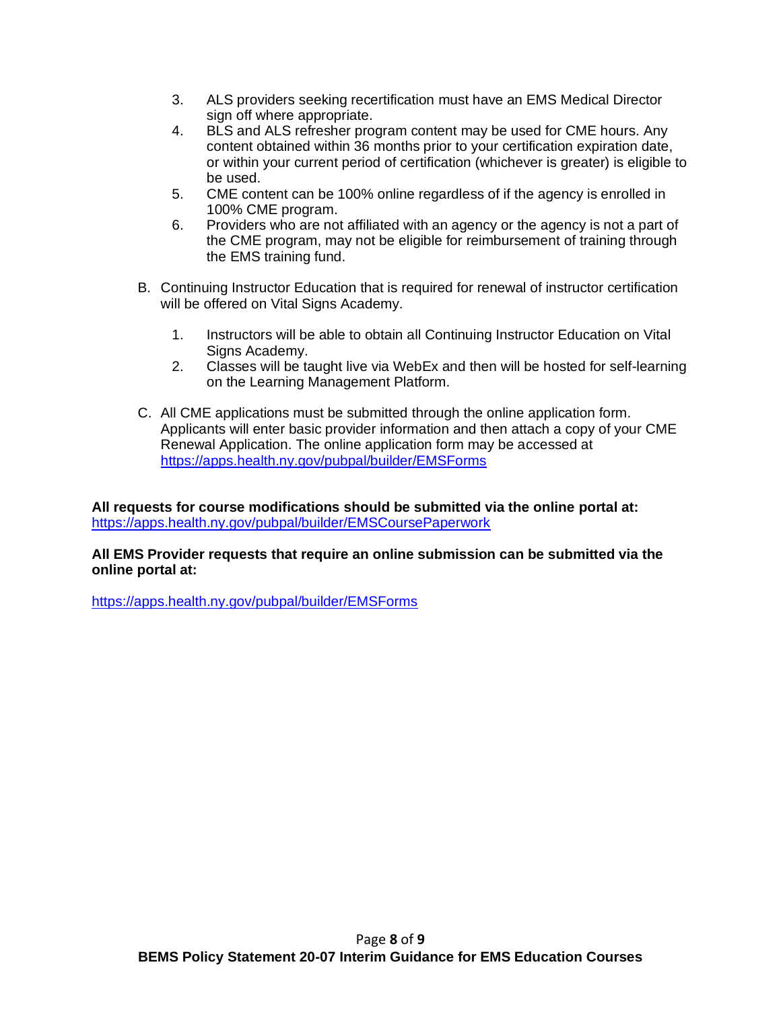- 3. ALS providers seeking recertification must have an EMS Medical Director sign off where appropriate.
- 4. BLS and ALS refresher program content may be used for CME hours. Any content obtained within 36 months prior to your certification expiration date, or within your current period of certification (whichever is greater) is eligible to be used.
- 5. CME content can be 100% online regardless of if the agency is enrolled in 100% CME program.
- 6. Providers who are not affiliated with an agency or the agency is not a part of the CME program, may not be eligible for reimbursement of training through the EMS training fund.
- B. Continuing Instructor Education that is required for renewal of instructor certification will be offered on Vital Signs Academy.
	- 1. Instructors will be able to obtain all Continuing Instructor Education on Vital Signs Academy.
	- 2. Classes will be taught live via WebEx and then will be hosted for self-learning on the Learning Management Platform.
- C. All CME applications must be submitted through the online application form. Applicants will enter basic provider information and then attach a copy of your CME Renewal Application. The online application form may be accessed at <https://apps.health.ny.gov/pubpal/builder/EMSForms>

**All requests for course modifications should be submitted via the online portal at:**  <https://apps.health.ny.gov/pubpal/builder/EMSCoursePaperwork>

### **All EMS Provider requests that require an online submission can be submitted via the online portal at:**

<https://apps.health.ny.gov/pubpal/builder/EMSForms>